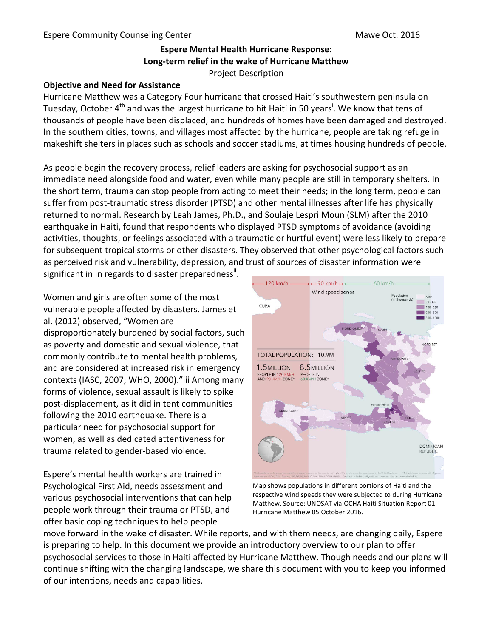## **Espere Mental Health Hurricane Response:** Long-term relief in the wake of Hurricane Matthew Project Description

# **Objective and Need for Assistance**

Hurricane Matthew was a Category Four hurricane that crossed Haiti's southwestern peninsula on Tuesday, October 4<sup>th</sup> and was the largest hurricane to hit Haiti in 50 years<sup>i</sup>. We know that tens of thousands of people have been displaced, and hundreds of homes have been damaged and destroyed. In the southern cities, towns, and villages most affected by the hurricane, people are taking refuge in makeshift shelters in places such as schools and soccer stadiums, at times housing hundreds of people.

As people begin the recovery process, relief leaders are asking for psychosocial support as an immediate need alongside food and water, even while many people are still in temporary shelters. In the short term, trauma can stop people from acting to meet their needs; in the long term, people can suffer from post-traumatic stress disorder (PTSD) and other mental illnesses after life has physically returned to normal. Research by Leah James, Ph.D., and Soulaje Lespri Moun (SLM) after the 2010 earthquake in Haiti, found that respondents who displayed PTSD symptoms of avoidance (avoiding activities, thoughts, or feelings associated with a traumatic or hurtful event) were less likely to prepare for subsequent tropical storms or other disasters. They observed that other psychological factors such as perceived risk and vulnerability, depression, and trust of sources of disaster information were

significant in in regards to disaster preparedness $^{\sf ii}$ .

Women and girls are often some of the most vulnerable people affected by disasters. James et al. (2012) observed, "Women are disproportionately burdened by social factors, such as poverty and domestic and sexual violence, that commonly contribute to mental health problems, and are considered at increased risk in emergency contexts (IASC, 2007; WHO, 2000)."iii Among many forms of violence, sexual assault is likely to spike post-displacement, as it did in tent communities following the 2010 earthquake. There is a particular need for psychosocial support for women, as well as dedicated attentiveness for trauma related to gender-based violence.

Espere's mental health workers are trained in Psychological First Aid, needs assessment and various psychosocial interventions that can help people work through their trauma or PTSD, and offer basic coping techniques to help people



Map shows populations in different portions of Haiti and the respective wind speeds they were subjected to during Hurricane Matthew. Source: UNOSAT via OCHA Haiti Situation Report 01 Hurricane Matthew 05 October 2016.

move forward in the wake of disaster. While reports, and with them needs, are changing daily, Espere is preparing to help. In this document we provide an introductory overview to our plan to offer psychosocial services to those in Haiti affected by Hurricane Matthew. Though needs and our plans will continue shifting with the changing landscape, we share this document with you to keep you informed of our intentions, needs and capabilities.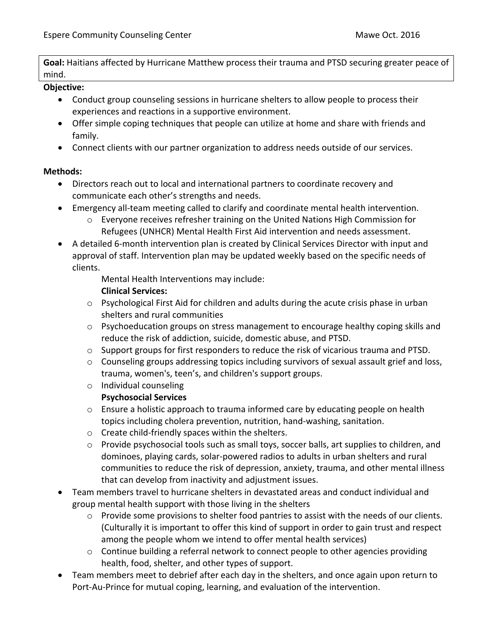**Goal:** Haitians affected by Hurricane Matthew process their trauma and PTSD securing greater peace of mind. 

#### **Objective:**

- Conduct group counseling sessions in hurricane shelters to allow people to process their experiences and reactions in a supportive environment.
- Offer simple coping techniques that people can utilize at home and share with friends and family.
- Connect clients with our partner organization to address needs outside of our services.

#### **Methods:**

- Directors reach out to local and international partners to coordinate recovery and communicate each other's strengths and needs.
- Emergency all-team meeting called to clarify and coordinate mental health intervention.
	- $\circ$  Everyone receives refresher training on the United Nations High Commission for Refugees (UNHCR) Mental Health First Aid intervention and needs assessment.
- A detailed 6-month intervention plan is created by Clinical Services Director with input and approval of staff. Intervention plan may be updated weekly based on the specific needs of clients.

Mental Health Interventions may include:

#### **Clinical Services:**

- $\circ$  Psychological First Aid for children and adults during the acute crisis phase in urban shelters and rural communities
- $\circ$  Psychoeducation groups on stress management to encourage healthy coping skills and reduce the risk of addiction, suicide, domestic abuse, and PTSD.
- $\circ$  Support groups for first responders to reduce the risk of vicarious trauma and PTSD.
- $\circ$  Counseling groups addressing topics including survivors of sexual assault grief and loss, trauma, women's, teen's, and children's support groups.
- o Individual counseling

## **Psychosocial Services**

- $\circ$  Ensure a holistic approach to trauma informed care by educating people on health topics including cholera prevention, nutrition, hand-washing, sanitation.
- $\circ$  Create child-friendly spaces within the shelters.
- $\circ$  Provide psychosocial tools such as small toys, soccer balls, art supplies to children, and dominoes, playing cards, solar-powered radios to adults in urban shelters and rural communities to reduce the risk of depression, anxiety, trauma, and other mental illness that can develop from inactivity and adjustment issues.
- Team members travel to hurricane shelters in devastated areas and conduct individual and group mental health support with those living in the shelters
	- $\circ$  Provide some provisions to shelter food pantries to assist with the needs of our clients. (Culturally it is important to offer this kind of support in order to gain trust and respect among the people whom we intend to offer mental health services)
	- $\circ$  Continue building a referral network to connect people to other agencies providing health, food, shelter, and other types of support.
- Team members meet to debrief after each day in the shelters, and once again upon return to Port-Au-Prince for mutual coping, learning, and evaluation of the intervention.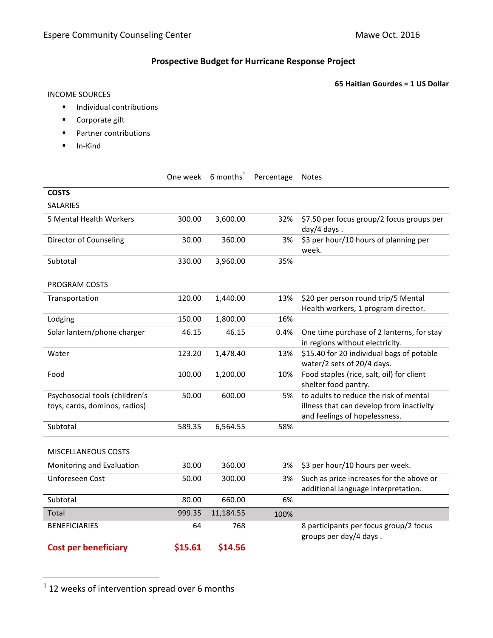## **Prospective Budget for Hurricane Response Project**

**65 Haitian Gourdes = 1 US Dollar** 

#### INCOME SOURCES

- **•** Individual contributions
- Corporate gift
- Partner contributions
- § In-Kind

|                                                                 |         | One week 6 months <sup>1</sup> | Percentage | Notes                                                                                                               |
|-----------------------------------------------------------------|---------|--------------------------------|------------|---------------------------------------------------------------------------------------------------------------------|
| <b>COSTS</b>                                                    |         |                                |            |                                                                                                                     |
| <b>SALARIES</b>                                                 |         |                                |            |                                                                                                                     |
| 5 Mental Health Workers                                         | 300.00  | 3,600.00                       | 32%        | \$7.50 per focus group/2 focus groups per<br>day/4 days.                                                            |
| Director of Counseling                                          | 30.00   | 360.00                         | 3%         | \$3 per hour/10 hours of planning per<br>week.                                                                      |
| Subtotal                                                        | 330.00  | 3,960.00                       | 35%        |                                                                                                                     |
| PROGRAM COSTS                                                   |         |                                |            |                                                                                                                     |
| Transportation                                                  | 120.00  | 1,440.00                       | 13%        | \$20 per person round trip/5 Mental<br>Health workers, 1 program director.                                          |
| Lodging                                                         | 150.00  | 1,800.00                       | 16%        |                                                                                                                     |
| Solar lantern/phone charger                                     | 46.15   | 46.15                          | 0.4%       | One time purchase of 2 lanterns, for stay<br>in regions without electricity.                                        |
| Water                                                           | 123.20  | 1,478.40                       | 13%        | \$15.40 for 20 individual bags of potable<br>water/2 sets of 20/4 days.                                             |
| Food                                                            | 100.00  | 1,200.00                       | 10%        | Food staples (rice, salt, oil) for client<br>shelter food pantry.                                                   |
| Psychosocial tools (children's<br>toys, cards, dominos, radios) | 50.00   | 600.00                         | 5%         | to adults to reduce the risk of mental<br>illness that can develop from inactivity<br>and feelings of hopelessness. |
| Subtotal                                                        | 589.35  | 6,564.55                       | 58%        |                                                                                                                     |
| <b>MISCELLANEOUS COSTS</b>                                      |         |                                |            |                                                                                                                     |
| Monitoring and Evaluation                                       | 30.00   | 360.00                         | 3%         | \$3 per hour/10 hours per week.                                                                                     |
| Unforeseen Cost                                                 | 50.00   | 300.00                         | 3%         | Such as price increases for the above or<br>additional language interpretation.                                     |
| Subtotal                                                        | 80.00   | 660.00                         | 6%         |                                                                                                                     |
| Total                                                           | 999.35  | 11,184.55                      | 100%       |                                                                                                                     |
| <b>BENEFICIARIES</b>                                            | 64      | 768                            |            | 8 participants per focus group/2 focus<br>groups per day/4 days.                                                    |
| <b>Cost per beneficiary</b>                                     | \$15.61 | \$14.56                        |            |                                                                                                                     |

 $1$  12 weeks of intervention spread over 6 months